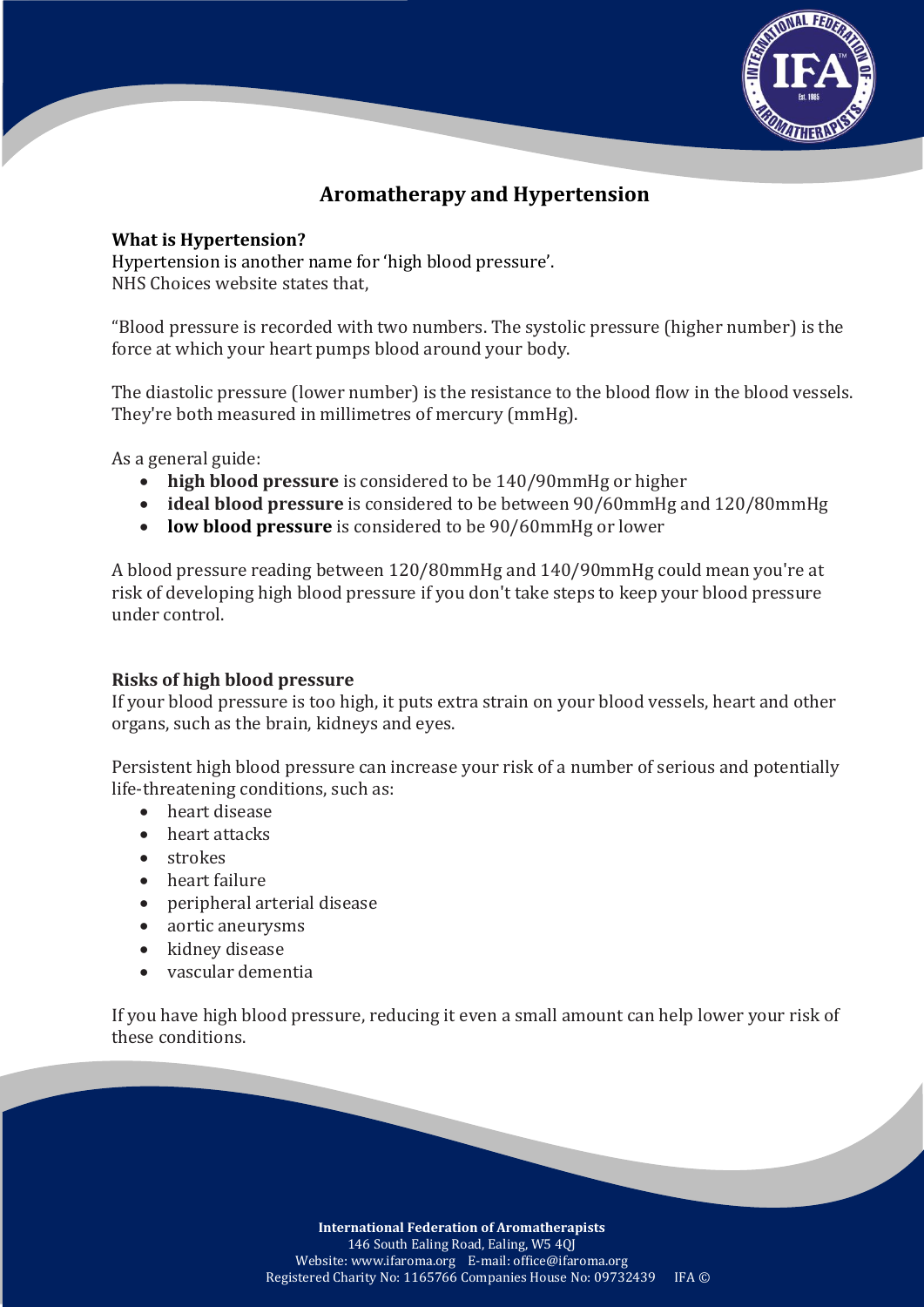

# **Aromatherapy and Hypertension**

## **What is Hypertension?**

Hypertension is another name for 'high blood pressure'. NHS Choices website states that,

"Blood pressure is recorded with two numbers. The systolic pressure (higher number) is the force at which your heart pumps blood around your body.

The diastolic pressure (lower number) is the resistance to the blood flow in the blood vessels. They're both measured in millimetres of mercury (mmHg).

As a general guide:

- **high blood pressure** is considered to be 140/90mmHg or higher
- **ideal blood pressure** is considered to be between 90/60mmHg and 120/80mmHg
- **low blood pressure** is considered to be 90/60mmHg or lower

A blood pressure reading between 120/80mmHg and 140/90mmHg could mean you're at risk of developing high blood pressure if you don't take steps to keep your blood pressure under control.

### **Risks of high blood pressure**

If your blood pressure is too high, it puts extra strain on your blood vessels, heart and other organs, such as the brain, kidneys and eyes.

Persistent high blood pressure can increase your risk of a number of serious and potentially life-threatening conditions, such as:

- heart disease
- heart attacks
- strokes
- heart failure
- peripheral arterial disease
- aortic aneurysms
- kidney disease
- vascular dementia

If you have high blood pressure, reducing it even a small amount can help lower your risk of these conditions.

> **International Federation of Aromatherapists** 146 South Ealing Road, Ealing, W5 4QJ Website: www.ifaroma.org E-mail: office@ifaroma.org Registered Charity No: 1165766 Companies House No: 09732439 IFA ©